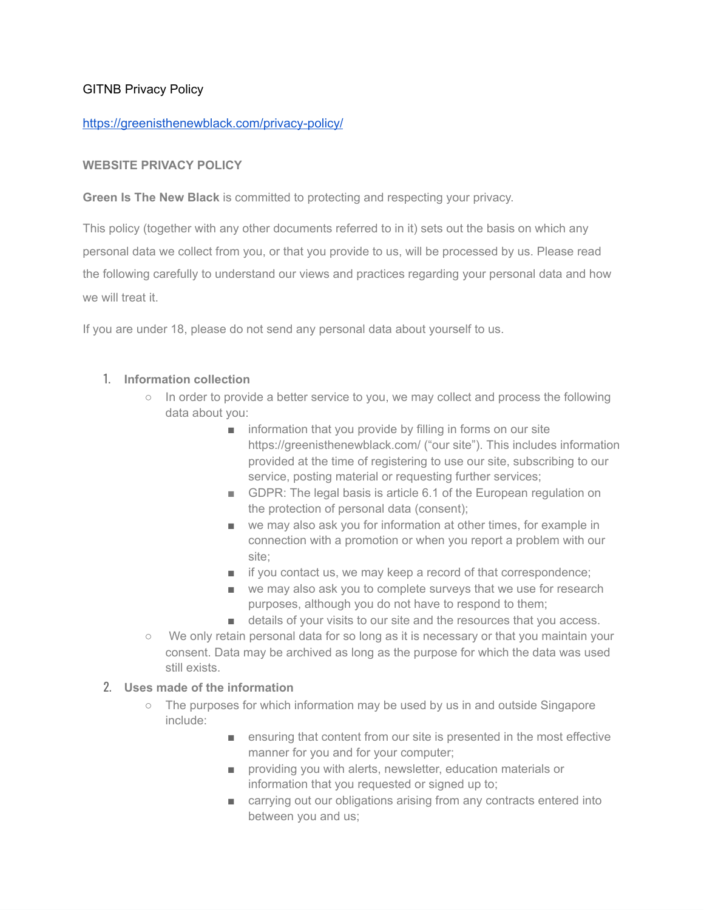## GITNB Privacy Policy

### <https://greenisthenewblack.com/privacy-policy/>

### **WEBSITE PRIVACY POLICY**

**Green Is The New Black** is committed to protecting and respecting your privacy.

This policy (together with any other documents referred to in it) sets out the basis on which any personal data we collect from you, or that you provide to us, will be processed by us. Please read the following carefully to understand our views and practices regarding your personal data and how we will treat it.

If you are under 18, please do not send any personal data about yourself to us.

#### 1. **Information collection**

- In order to provide a better service to you, we may collect and process the following data about you:
	- information that you provide by filling in forms on our site https://greenisthenewblack.com/ ("our site"). This includes information provided at the time of registering to use our site, subscribing to our service, posting material or requesting further services;
	- GDPR: The legal basis is article 6.1 of the European regulation on the protection of personal data (consent);
	- we may also ask you for information at other times, for example in connection with a promotion or when you report a problem with our site;
	- if you contact us, we may keep a record of that correspondence;
	- we may also ask you to complete surveys that we use for research purposes, although you do not have to respond to them;
	- details of your visits to our site and the resources that you access.
- We only retain personal data for so long as it is necessary or that you maintain your consent. Data may be archived as long as the purpose for which the data was used still exists.

### 2. **Uses made of the information**

- The purposes for which information may be used by us in and outside Singapore include:
	- ensuring that content from our site is presented in the most effective manner for you and for your computer;
	- providing you with alerts, newsletter, education materials or information that you requested or signed up to;
	- carrying out our obligations arising from any contracts entered into between you and us;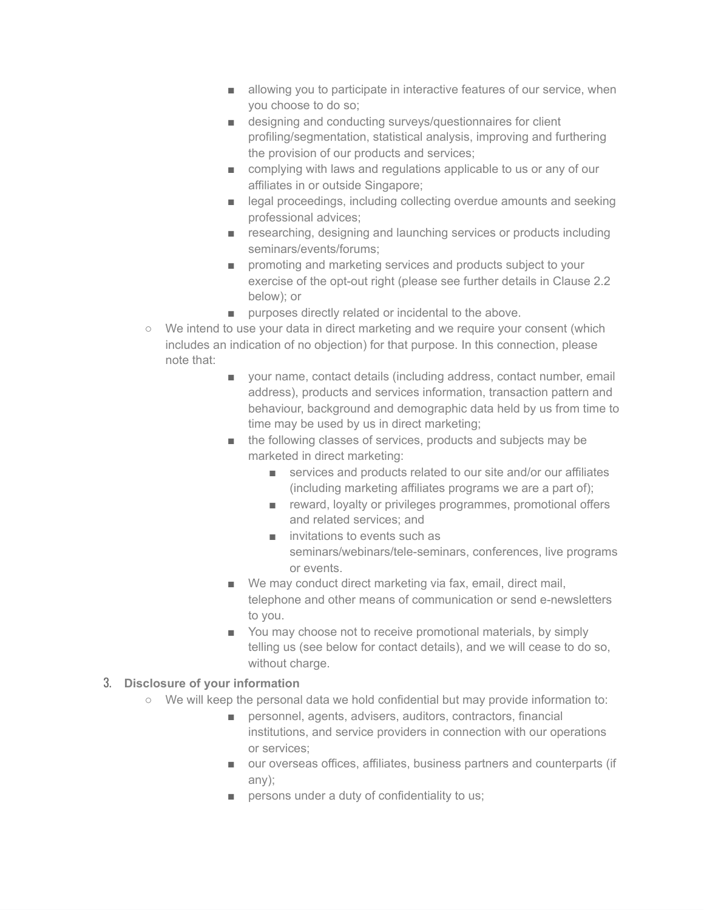- allowing you to participate in interactive features of our service, when you choose to do so;
- designing and conducting surveys/questionnaires for client profiling/segmentation, statistical analysis, improving and furthering the provision of our products and services;
- complying with laws and regulations applicable to us or any of our affiliates in or outside Singapore;
- legal proceedings, including collecting overdue amounts and seeking professional advices;
- researching, designing and launching services or products including seminars/events/forums;
- promoting and marketing services and products subject to your exercise of the opt-out right (please see further details in Clause 2.2 below); or
- purposes directly related or incidental to the above.
- We intend to use your data in direct marketing and we require your consent (which includes an indication of no objection) for that purpose. In this connection, please note that:
	- your name, contact details (including address, contact number, email address), products and services information, transaction pattern and behaviour, background and demographic data held by us from time to time may be used by us in direct marketing;
	- the following classes of services, products and subjects may be marketed in direct marketing:
		- services and products related to our site and/or our affiliates (including marketing affiliates programs we are a part of);
		- reward, loyalty or privileges programmes, promotional offers and related services; and
		- invitations to events such as seminars/webinars/tele-seminars, conferences, live programs or events.
	- We may conduct direct marketing via fax, email, direct mail, telephone and other means of communication or send e-newsletters to you.
	- You may choose not to receive promotional materials, by simply telling us (see below for contact details), and we will cease to do so, without charge.

# 3. **Disclosure of your information**

- We will keep the personal data we hold confidential but may provide information to:
	- personnel, agents, advisers, auditors, contractors, financial institutions, and service providers in connection with our operations or services;
	- our overseas offices, affiliates, business partners and counterparts (if any);
	- persons under a duty of confidentiality to us;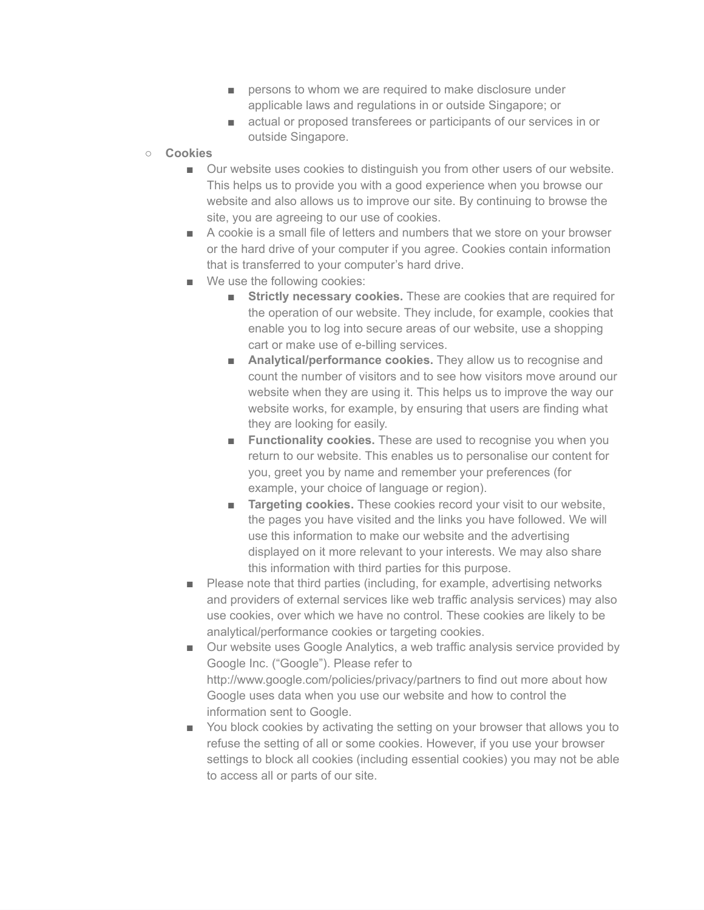- persons to whom we are required to make disclosure under applicable laws and regulations in or outside Singapore; or
- actual or proposed transferees or participants of our services in or outside Singapore.
- **Cookies**
	- Our website uses cookies to distinguish you from other users of our website. This helps us to provide you with a good experience when you browse our website and also allows us to improve our site. By continuing to browse the site, you are agreeing to our use of cookies.
	- A cookie is a small file of letters and numbers that we store on your browser or the hard drive of your computer if you agree. Cookies contain information that is transferred to your computer's hard drive.
	- We use the following cookies:
		- **Strictly necessary cookies.** These are cookies that are required for the operation of our website. They include, for example, cookies that enable you to log into secure areas of our website, use a shopping cart or make use of e-billing services.
		- **Analytical/performance cookies.** They allow us to recognise and count the number of visitors and to see how visitors move around our website when they are using it. This helps us to improve the way our website works, for example, by ensuring that users are finding what they are looking for easily.
		- **Functionality cookies.** These are used to recognise you when you return to our website. This enables us to personalise our content for you, greet you by name and remember your preferences (for example, your choice of language or region).
		- **Targeting cookies.** These cookies record your visit to our website, the pages you have visited and the links you have followed. We will use this information to make our website and the advertising displayed on it more relevant to your interests. We may also share this information with third parties for this purpose.
	- Please note that third parties (including, for example, advertising networks and providers of external services like web traffic analysis services) may also use cookies, over which we have no control. These cookies are likely to be analytical/performance cookies or targeting cookies.
	- Our website uses Google Analytics, a web traffic analysis service provided by Google Inc. ("Google"). Please refer to http://www.google.com/policies/privacy/partners to find out more about how Google uses data when you use our website and how to control the information sent to Google.
	- You block cookies by activating the setting on your browser that allows you to refuse the setting of all or some cookies. However, if you use your browser settings to block all cookies (including essential cookies) you may not be able to access all or parts of our site.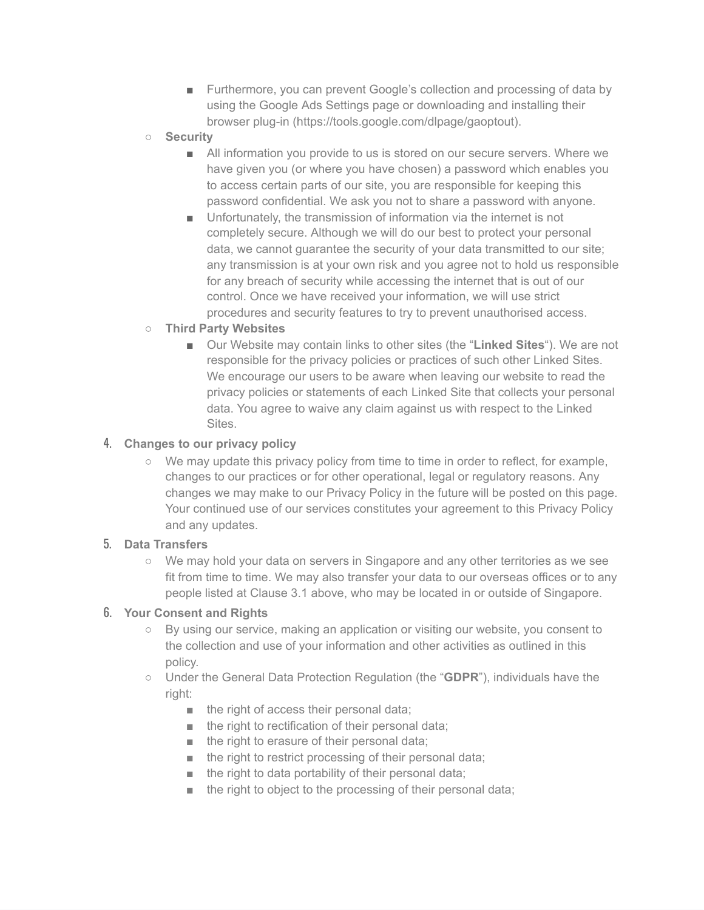- Furthermore, you can prevent Google's collection and processing of data by using the Google Ads Settings page or downloading and installing their browser plug-in [\(https://tools.google.com/dlpage/gaoptout](https://tools.google.com/dlpage/gaoptout)).
- **Security**
	- All information you provide to us is stored on our secure servers. Where we have given you (or where you have chosen) a password which enables you to access certain parts of our site, you are responsible for keeping this password confidential. We ask you not to share a password with anyone.
	- Unfortunately, the transmission of information via the internet is not completely secure. Although we will do our best to protect your personal data, we cannot guarantee the security of your data transmitted to our site; any transmission is at your own risk and you agree not to hold us responsible for any breach of security while accessing the internet that is out of our control. Once we have received your information, we will use strict procedures and security features to try to prevent unauthorised access.
- **Third Party Websites**
	- Our Website may contain links to other sites (the "**Linked Sites**"). We are not responsible for the privacy policies or practices of such other Linked Sites. We encourage our users to be aware when leaving our website to read the privacy policies or statements of each Linked Site that collects your personal data. You agree to waive any claim against us with respect to the Linked Sites.

### 4. **Changes to our privacy policy**

○ We may update this privacy policy from time to time in order to reflect, for example, changes to our practices or for other operational, legal or regulatory reasons. Any changes we may make to our Privacy Policy in the future will be posted on this page. Your continued use of our services constitutes your agreement to this Privacy Policy and any updates.

### 5. **Data Transfers**

○ We may hold your data on servers in Singapore and any other territories as we see fit from time to time. We may also transfer your data to our overseas offices or to any people listed at Clause 3.1 above, who may be located in or outside of Singapore.

### 6. **Your Consent and Rights**

- By using our service, making an application or visiting our website, you consent to the collection and use of your information and other activities as outlined in this policy.
- Under the General Data Protection Regulation (the "**GDPR**"), individuals have the right:
	- the right of access their personal data;
	- the right to rectification of their personal data;
	- the right to erasure of their personal data;
	- the right to restrict processing of their personal data;
	- the right to data portability of their personal data;
	- the right to object to the processing of their personal data;